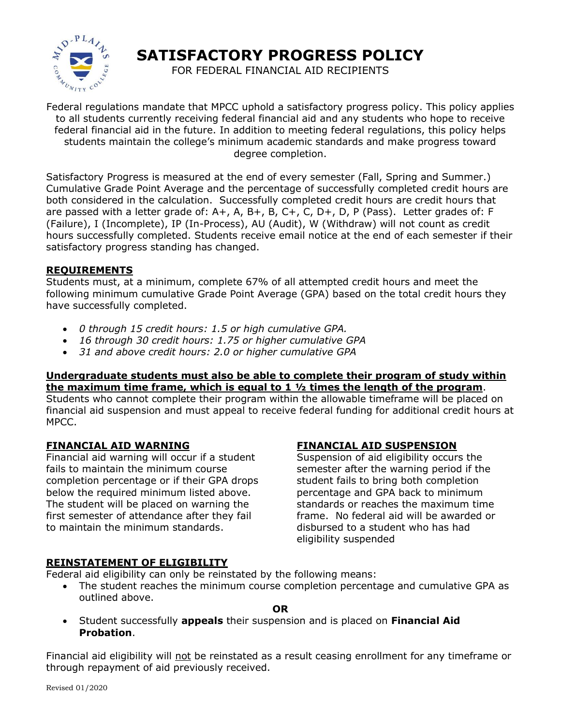

**SATISFACTORY PROGRESS POLICY**

FOR FEDERAL FINANCIAL AID RECIPIENTS

Federal regulations mandate that MPCC uphold a satisfactory progress policy. This policy applies to all students currently receiving federal financial aid and any students who hope to receive federal financial aid in the future. In addition to meeting federal regulations, this policy helps students maintain the college's minimum academic standards and make progress toward degree completion.

Satisfactory Progress is measured at the end of every semester (Fall, Spring and Summer.) Cumulative Grade Point Average and the percentage of successfully completed credit hours are both considered in the calculation. Successfully completed credit hours are credit hours that are passed with a letter grade of: A+, A, B+, B, C+, C, D+, D, P (Pass). Letter grades of: F (Failure), I (Incomplete), IP (In-Process), AU (Audit), W (Withdraw) will not count as credit hours successfully completed. Students receive email notice at the end of each semester if their satisfactory progress standing has changed.

## **REQUIREMENTS**

Students must, at a minimum, complete 67% of all attempted credit hours and meet the following minimum cumulative Grade Point Average (GPA) based on the total credit hours they have successfully completed.

- *0 through 15 credit hours: 1.5 or high cumulative GPA.*
- *16 through 30 credit hours: 1.75 or higher cumulative GPA*
- *31 and above credit hours: 2.0 or higher cumulative GPA*

#### **Undergraduate students must also be able to complete their program of study within the maximum time frame, which is equal to 1 ½ times the length of the program**.

Students who cannot complete their program within the allowable timeframe will be placed on financial aid suspension and must appeal to receive federal funding for additional credit hours at MPCC.

# **FINANCIAL AID WARNING**

Financial aid warning will occur if a student fails to maintain the minimum course completion percentage or if their GPA drops below the required minimum listed above. The student will be placed on warning the first semester of attendance after they fail to maintain the minimum standards.

# **FINANCIAL AID SUSPENSION**

Suspension of aid eligibility occurs the semester after the warning period if the student fails to bring both completion percentage and GPA back to minimum standards or reaches the maximum time frame. No federal aid will be awarded or disbursed to a student who has had eligibility suspended

# **REINSTATEMENT OF ELIGIBILITY**

Federal aid eligibility can only be reinstated by the following means:

• The student reaches the minimum course completion percentage and cumulative GPA as outlined above.

#### **OR**

• Student successfully **appeals** their suspension and is placed on **Financial Aid Probation**.

Financial aid eligibility will not be reinstated as a result ceasing enrollment for any timeframe or through repayment of aid previously received.